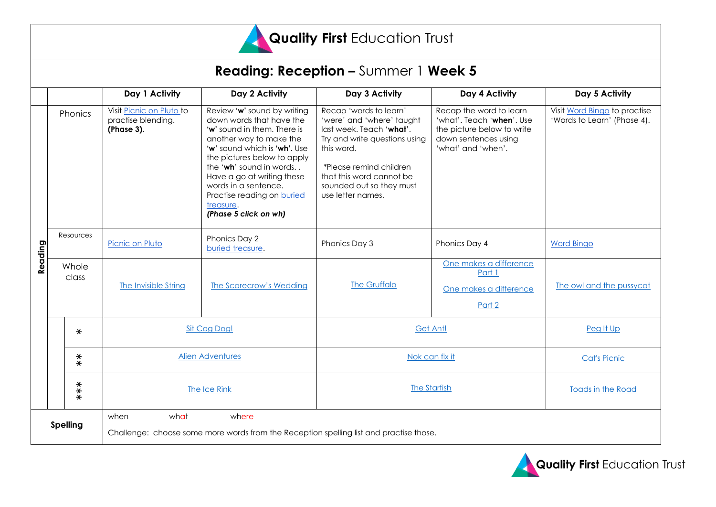

| <b>Reading: Reception - Summer 1 Week 5</b> |                   |                                                                                                                 |                                                                                                                                                                                                                                                                                                                                       |                                                                                                                                                                                                                                        |                                                                                                                                  |                                                             |
|---------------------------------------------|-------------------|-----------------------------------------------------------------------------------------------------------------|---------------------------------------------------------------------------------------------------------------------------------------------------------------------------------------------------------------------------------------------------------------------------------------------------------------------------------------|----------------------------------------------------------------------------------------------------------------------------------------------------------------------------------------------------------------------------------------|----------------------------------------------------------------------------------------------------------------------------------|-------------------------------------------------------------|
|                                             |                   | Day 1 Activity                                                                                                  | Day 2 Activity                                                                                                                                                                                                                                                                                                                        | Day 3 Activity                                                                                                                                                                                                                         | Day 4 Activity                                                                                                                   | Day 5 Activity                                              |
|                                             | Phonics           | Visit Picnic on Pluto to<br>practise blending.<br>(Phase 3).                                                    | Review 'w' sound by writing<br>down words that have the<br>'w' sound in them. There is<br>another way to make the<br>'w' sound which is 'wh'. Use<br>the pictures below to apply<br>the 'wh' sound in words<br>Have a go at writing these<br>words in a sentence.<br>Practise reading on buried<br>treasure.<br>(Phase 5 click on wh) | Recap 'words to learn'<br>'were' and 'where' taught<br>last week. Teach 'what'.<br>Try and write questions using<br>this word.<br>*Please remind children<br>that this word cannot be<br>sounded out so they must<br>use letter names. | Recap the word to learn<br>'what'. Teach 'when'. Use<br>the picture below to write<br>down sentences using<br>'what' and 'when'. | Visit Word Bingo to practise<br>'Words to Learn' (Phase 4). |
| Reading                                     | Resources         | Picnic on Pluto                                                                                                 | Phonics Day 2<br>buried treasure.                                                                                                                                                                                                                                                                                                     | Phonics Day 3                                                                                                                                                                                                                          | Phonics Day 4                                                                                                                    | <b>Word Bingo</b>                                           |
|                                             | Whole<br>class    | The Invisible String                                                                                            | The Scarecrow's Wedding                                                                                                                                                                                                                                                                                                               | The Gruffalo                                                                                                                                                                                                                           | One makes a difference<br>Part 1<br>One makes a difference<br>Part 2                                                             | The owl and the pussycat                                    |
|                                             | $\ast$            | Sit Cog Dog!                                                                                                    |                                                                                                                                                                                                                                                                                                                                       | Get Ant!                                                                                                                                                                                                                               |                                                                                                                                  | Peg It Up                                                   |
|                                             | $\stackrel{*}{*}$ | <b>Alien Adventures</b>                                                                                         |                                                                                                                                                                                                                                                                                                                                       | Nok can fix it                                                                                                                                                                                                                         |                                                                                                                                  | <b>Cat's Picnic</b>                                         |
|                                             | $***$             | The Ice Rink                                                                                                    |                                                                                                                                                                                                                                                                                                                                       | The Starfish                                                                                                                                                                                                                           |                                                                                                                                  | Toads in the Road                                           |
| <b>Spelling</b>                             |                   | what<br>where<br>when<br>Challenge: choose some more words from the Reception spelling list and practise those. |                                                                                                                                                                                                                                                                                                                                       |                                                                                                                                                                                                                                        |                                                                                                                                  |                                                             |

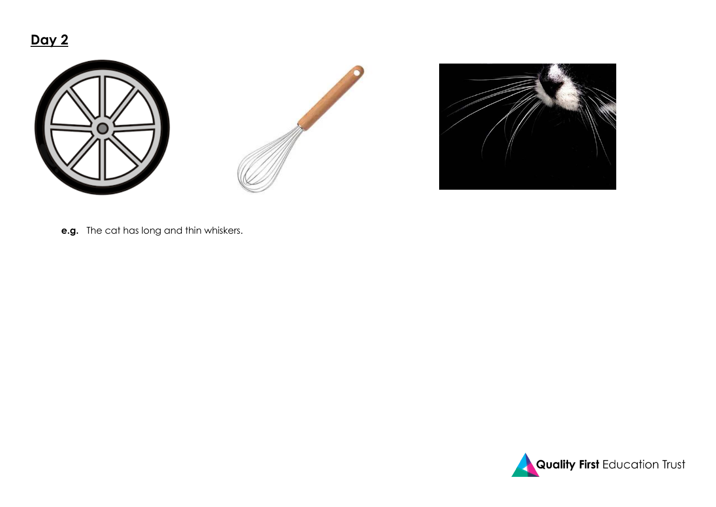## **Day 2**







**e.g.** The cat has long and thin whiskers.